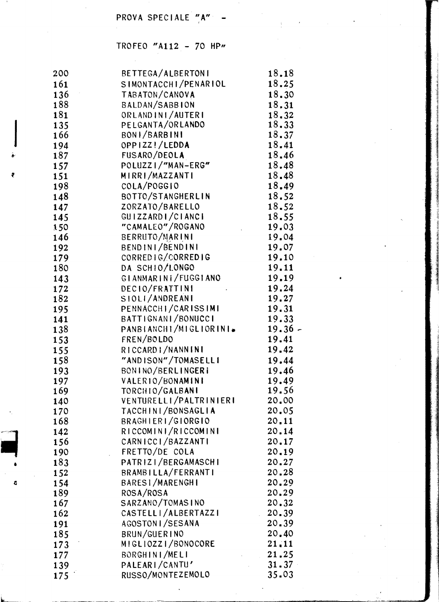# PROVA SPECIALE "A" -

# TROFEO "A112 - 70 HP"

 $\mathcal{L}_{\mathcal{A}}$ 

| 200 | BETTEGA/ALBERTONI                       | 18.18          |
|-----|-----------------------------------------|----------------|
| 161 | SIMONTACCHI/PENARIOL                    | 18.25          |
| 136 | TABATON/CANOVA                          | 18.30          |
| 188 | BALDAN/SABBION                          | 18.31          |
| 181 | ORLANDINI/AUTERI                        | 18.32          |
| 135 | PELGANTA/ORLANDO                        | 18.33          |
| 166 | BONI/BARBINI                            | 18.37          |
| 194 | OPPIZZ!/LEDDA                           | 18.41          |
| 187 | FUSARO/DEOLA                            | 18.46          |
| 157 | POLUZZI/"MAN-ERG"                       | 18.48          |
| 151 | MIRRI/MAZZANTI                          | 18.48          |
| 198 | COLA/POGGIO                             | 18.49          |
| 148 | BOTTO/STANGHERLIN                       | 18.52          |
| 147 | ZORZATO/BARELLO                         | 18.52          |
| 145 | GUIZZARDI/CIANCI                        | 18.55          |
| 150 | "CAMALEO"/ROGANO<br>$\mathcal{L}^{(1)}$ | 19.03          |
| 146 | BERRUTO/MARINI                          | 19.04          |
| 192 | BENDINI/BENDINI                         | 19.07          |
| 179 | CORREDIG/CORREDIG                       | 19.10          |
| 180 | DA SCHIO/LONGO                          | 19.11          |
| 143 | GIANMARINI/FUGGIANO                     | 19.19          |
| 172 | DECIO/FRATTINI                          | 19.24          |
| 182 | SIOLI/ANDREANI                          | 19.27          |
| 195 | PENNACCHI/CARISSIMI                     | 19.31          |
| 141 | BATTIGNANI/BONUCCI                      | 19.33          |
|     | PANBIANCHI/MIGLIORINI.                  | $19.36 -$      |
| 138 | FREN/BOLDO                              | 19.41          |
| 153 | RICCARDI/NANNINI                        | 19.42          |
| 155 |                                         |                |
| 158 | "ANDISON"/TOMASELLI                     | 19.44          |
| 193 | BONINO/BERLINGERI                       | 19.46          |
| 197 | VALERIO/BONAMINI                        | 19.49<br>19.56 |
| 169 | TORCHIO/GALBANI                         |                |
| 140 | VENTURELLI/PALTRINIERI                  | 20.00          |
| 170 | TACCHINI/BONSAGLIA                      | 20.05          |
| 168 | BRAGHIERI/GIORGIO                       | 20.11          |
| 142 | RICCOMINI/RICCOMINI                     | 20.14          |
| 156 | CARNICCI/BAZZANTI                       | 20.17          |
| 190 | FRETTO/DE COLA                          | 20.19          |
| 183 | PATRIZI/BERGAMASCHI                     | 20.27          |
| 152 | BRAMBILLA/FERRANTI                      | 20.28          |
| 154 | BARESI/MARENGHI                         | 20.29          |
| 189 | ROSA/ROSA                               | 20.29          |
| 167 | SARZANO/TOMASINO                        | 20.32          |
| 162 | CASTELLI/ALBERTAZZI                     | 20.39<br>J.    |
| 191 | AGOSTONI/SESANA                         | 20.39          |
| 185 | BRUN/GUERINO                            | 20.40          |
| 173 | MIGLIOZZI/BONOCORE                      | 21.11          |
| 177 | BORGHINI/MELI                           | 21.25          |
| 139 | PALEARI/CANTU'                          | 31.37          |
| 175 | RUSSO/MONTEZEMOLO                       | 35.03          |

đ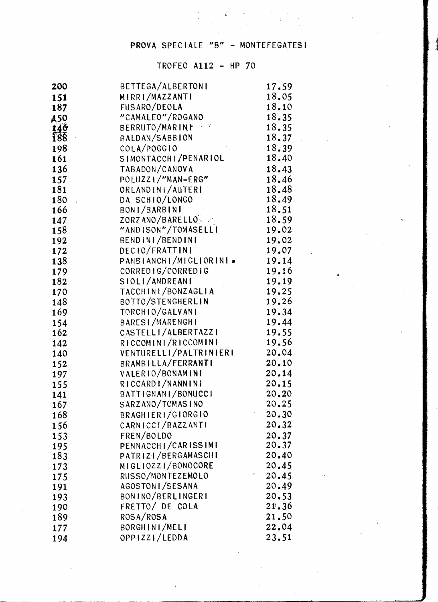## PROVA SPECIALE "B" - MONTEFEGATESI

| 200               | BETTEGA/ALBERTONI                          | 17.59          |
|-------------------|--------------------------------------------|----------------|
| 151               | MIRRI/MAZZANTI                             | 18.05          |
| 187               | FUSARO/DEOLA                               | 18.10          |
| <b>450</b>        | "CAMALEO"/ROGANO                           | 18.35          |
|                   | BERRUTO/MARINE                             | 18.35          |
| $\frac{146}{188}$ | BALDAN/SABBION                             | 18.37          |
| 198               | COLA/POGGIO                                | 18.39          |
| 161               | SIMONTACCHI/PENARIOL                       | 18.40          |
| 136               | TABADON/CANOVA                             | 18.43          |
| 157               | POLUZZI/"MAN-ERG"                          | 18.46          |
| 181               | ORLANDIN /AUTERI                           | 18.48          |
| 180               | DA SCHIO/LONGO                             | 18.49          |
| 166               | BONI/BARBINI                               | 18.51          |
| 147               | ZORZANO/BARELLO                            | 18.59          |
| 158               | "ANDISON"/TOMASELLI                        | 19.02          |
| 192               | BENDINI/BENDINI                            | 19.02          |
| 172               | DECIO/FRATTINI                             | 19.07          |
| 138               | PANBIANCHI/MIGLIORINI»                     | 19.14          |
| 179               | CORREDIG/CORREDIG                          | 19.16          |
| 182               | SIOLI/ANDREANI                             | 19.19          |
| 170               | TACCHINI/BONZAGLIA                         | 19.25          |
| 148               | BOTTO/STENGHERLIN                          | 19.26          |
| 169               | TORCHIO/GALVANI                            | 19.34          |
| 154               | <b>BARESI/MARENGHI</b>                     | 19.44          |
| 162               | CASTELLI/ALBERTAZZI                        | 19.55          |
| 142               | RICCOMINI/RICCOMINI                        | 19.56          |
| 140               | VENTURELLI/PALTRINIERI                     | 20.04          |
| 152               | BRAMBILLA/FERRANTI                         | 20.10          |
| 197               | VALERIO/BONAMINI                           | 20.14          |
| 155               | RICCARDI/NANNINI                           | 20.15          |
| 141               | BATTIGNANI/BONUCCI                         | 20.20          |
| 167               | SARZANO/TOMASINO                           | 20.25          |
| 168               | BRAGHIERI/GIORGIO                          | 20.30          |
| 156               | CARNICCI/BAZZANTI                          | 20.32          |
| 153               | FREN/BOLDO                                 | 20.37<br>20.37 |
| 195               | PENNACCHI/CARISSIMI<br>PATRIZI/BERGAMASCHI | 20.40          |
| 183               | MIGLIOZZI/BONOCORE                         | 20.45          |
| 173               | RUSSO/MONTEZEMOLO                          | 20.45          |
| 175<br>191        | AGOSTON I/SESANA                           | 20.49          |
| 193               | BONINO/BERLINGERI                          | 20.53          |
| 190               | FRETTO/ DE COLA                            | 21.36          |
| 189               | ROSA/ROSA                                  | 21.50          |
| 177               | BORGHINI/MELI                              | 22.04          |
| 194               | OPPIZZI/LEDDA                              | 23.51          |
|                   |                                            |                |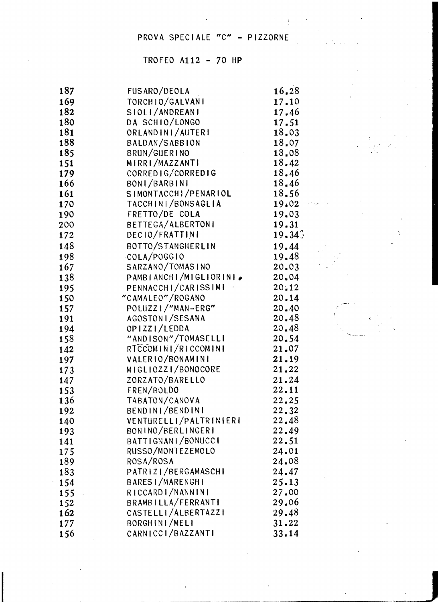# PROVA SPECIALE "C" - PIZZORNE

| 187 | FUSARO/DEOLA           | 16.28     |
|-----|------------------------|-----------|
| 169 | TORCHIO/GALVANI        | 17.10     |
| 182 | SIOLI/ANDREANI         | 17.46     |
| 180 | DA SCHIO/LONGO         | 17.51     |
| 181 | ORLANDINI/AUTERI       | 18.03     |
| 188 | BALDAN/SABBION         | 18.07     |
| 185 | BRUN/GUERINO           | 18.08     |
| 151 | MIRRI/MAZZANTI         | 18.42     |
| 179 | CORREDIG/CORREDIG      | 18.46     |
| 166 | BONI/BARBINI           | 18.46     |
| 161 | SIMONTACCHI/PENARIOL   | 18.56     |
| 170 | TACCHINI/BONSAGLIA     | 19.02     |
| 190 | FRETTO/DE COLA         | 19.03     |
| 200 | BETTEGA/ALBERTONI      | 19.31     |
| 172 | DECIO/FRATTINI         | $19 - 34$ |
| 148 | BOTTO/STANGHERLIN      | 19.44     |
| 198 | COLA/POGGIO            | 19.48     |
| 167 | SARZANO/TOMASINO       | 20.03     |
| 138 | PAMBIANCHI/MIGLIORINI. | 20.04     |
| 195 | PENNACCHI/CARISSIMI    | $20 - 12$ |
| 150 | "CAMALEO"/ROGANO       | 20.14     |
| 157 | POLUZZI/"MAN-ERG"      | 20.40     |
| 191 | AGOSTON I/SESANA       | 20.48     |
| 194 | OPIZZI/LEDDA           | 20.48     |
| 158 | "ANDISON"/TOMASELLI    | 20.54     |
| 142 | RTCCOMINI/RICCOMINI    | 21.07     |
| 197 | VALERIO/BONAMINI       | 21.19     |
| 173 | MIGLIOZZI/BONOCORE     | 21.22     |
| 147 | ZORZATO/BARELLO        | 21.24     |
| 153 | FREN/BOLDO             | 22.11     |
| 136 | TABATON/CANOVA         | 22.25     |
| 192 | BENDINI/BENDINI        | 22.32     |
| 140 | VENTURELLI/PALTRINIERI | 22.48     |
| 193 | BONINO/BERLINGERI      | 22.49     |
| 141 | BATTIGNANI/BONUCCI     | 22.51     |
| 175 | RUSSO/MONTEZEMOLO      | 24.01     |
| 189 | ROSA/ROSA              | 24.08     |
| 183 | PATRIZI/BERGAMASCHI    | 24.47     |
| 154 | BARESI/MARENGHI        | 25.13     |
| 155 | RICCARDI/NANNINI       | 27.00     |
| 152 | BRAMBILLA/FERRANTI     | 29.06     |
| 162 | CASTELLI/ALBERTAZZI    | 29.48     |
| 177 | BORGHINI/MELI          | $31 - 22$ |
| 156 | CARNICCI/BAZZANTI      | 33.14     |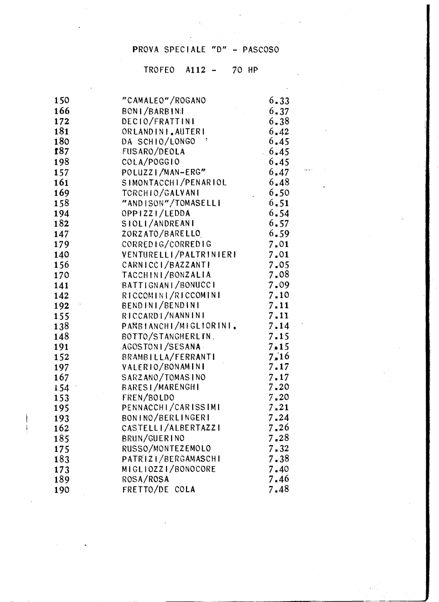# PROVA SPECIALE "D" - PASCOSO

| 150        | "CAMALEO"/ROGANO       | $6 - 33$      |
|------------|------------------------|---------------|
| 166        | BONI/BARBINI           | $6 - 37$      |
| 172        | DECIO/FRATTINI         | 6.38          |
| 181        | ORLANDINI, AUTERI      | 6.42          |
| 180        | DA SCHIO/LONGO         | 6.45          |
| <b>f87</b> | FUSARO/DEOLA           | 6.45          |
| 198        | COLA/POGGIO            | 6.45          |
| 157        | POLUZZI/MAN-ERG"       | 6.47          |
| 161        | SIMONTACCHI/PENARIOL   | 6.48          |
| 169        | TORCHIO/GALVANI        | 6.50          |
| 158        | "ANDISON"/TOMASELLI    | 6.51          |
| 194        | OPPIZZI/LEDDA          | 6.54          |
| 182        | SIOLI/ANDREANI         | 6.57          |
| 147        | ZORZATO/BARELLO        | 6.59          |
| 179        | CORREDIG/CORREDIG      | 7.01          |
| 140        | VENTURELLI/PALTRINIERI | 7.01          |
| 156        | CARNICCI/BAZZANTI      | 7.05          |
| 170        | TACCHINI/BONZALIA      | 7.08          |
| 141        | BATTIGNANI/BONUCCI     | 7.09          |
| 142        | RICCOMINI/RICCOMINI    | 7.10          |
| 192        | BENDINI/BENDINI        | 7.11          |
| 155        | RICCARDI/NANNINI       | 7.11          |
| 138        | PANBIANCHI/MIGLIORINI, | 7.14          |
| 148        | BOTTO/STANGHERLIN.     | 7.15          |
| 191        | AGOSTONI/SESANA        | $7 \times 15$ |
| 152        | BRAMBILLA/FERRANTI     | 7.16          |
| 197        | VALERIO/BONAMINI       | 7.17          |
| 167        | SARZANO/TOMASINO       | 7.17          |
| 154        | BARESI/MARENGHI        | $7 - 20$      |
| 153        | FREN/BOLDO             | 7.20          |
| 195        | PENNACCHI/CARISSIMI    | 7.21          |
| 193        | BONINO/BERLINGERI      | 7.24          |
| 162        | CASTELLI/ALBERTAZZI    | 7.26          |
| 185        | BRUN/GUERINO           | 7.28          |
| 175        | RUSSO/MONTEZEMOLO      | 7.32          |
| 183        | PATRIZI/BERGAMASCHI    | 7.38          |
| 173        | MIGLIOZZI/BONOCORE     | 7.40          |
| 189        | ROSA/ROSA              | 7.46          |
| 190        | FRETTO/DE COLA         | 7.48          |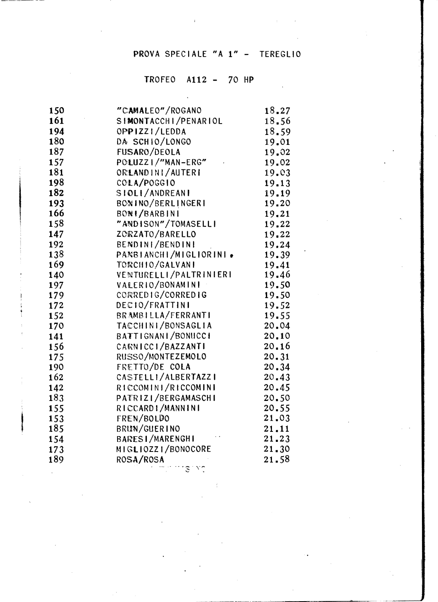# PROVA SPECIALE "A 1" - TEREGLIO

| 150 | "CAMALEO"/ROGANO       | 18.27 |
|-----|------------------------|-------|
| 161 | SIMONTACCHI/PENARIOL   | 18.56 |
| 194 | OPPIZZI/LEDDA          | 18.59 |
| 180 | DA SCHIO/LONGO         | 19.01 |
| 187 | FUSARO/DEOLA           | 19.02 |
| 157 | POLUZZI/"MAN-ERG"      | 19.02 |
| 181 | ORLANDINI/AUTERI       | 19.03 |
| 198 | COLA/POGGIO            | 19.13 |
| 182 | SIOLI/ANDREANI         | 19.19 |
| 193 | BONINO/BERLINGERI      | 19.20 |
| 166 | BONI/BARBINI           | 19.21 |
| 158 | "ANDISON"/TOMASELLI    | 19.22 |
| 147 | ZORZATO/BARELLO        | 19.22 |
| 192 | BENDINI/BENDINI        | 19.24 |
| 138 | PANBIANCHI/MIGLIORINI. | 19.39 |
| 169 | TORCHIO/GALVANI        | 19.41 |
| 140 | VENTURELLI/PALTRINIERI | 19.46 |
| 197 | VALERIO/BONAMINI       | 19.50 |
| 179 | CORREDIG/CORREDIG      | 19.50 |
| 172 | DECIO/FRATTINI         | 19.52 |
| 152 | BRAMBILLA/FERRANTI     | 19.55 |
| 170 | TACCHINI/BONSAGLIA     | 20.04 |
| 141 | BATTIGNANI/BONUCCI     | 20.10 |
| 156 | CARNICCI/BAZZANTI      | 20.16 |
| 175 | RUSSO/MONTEZEMOLO      | 20.31 |
| 190 | FRETTO/DE COLA         | 20.34 |
| 162 | CASTELLI/ALBERTAZZI    | 20.43 |
| 142 | RICCOMINI/RICCOMINI    | 20.45 |
| 183 | PATRIZI/BERGAMASCHI    | 20.50 |
| 155 | RICCARDI/MANNINI       | 20.55 |
| 153 | FREN/BOLDO             | 21.03 |
| 185 | BRUN/GUERINO           | 21.11 |
| 154 | <b>BARESI/MARENGHI</b> | 21.23 |
| 173 | MIGLIOZZI/BONOCORE     | 21.30 |
| 189 | ROSA/ROSA              | 21.58 |
|     | بعردي والمعرف والمرا   |       |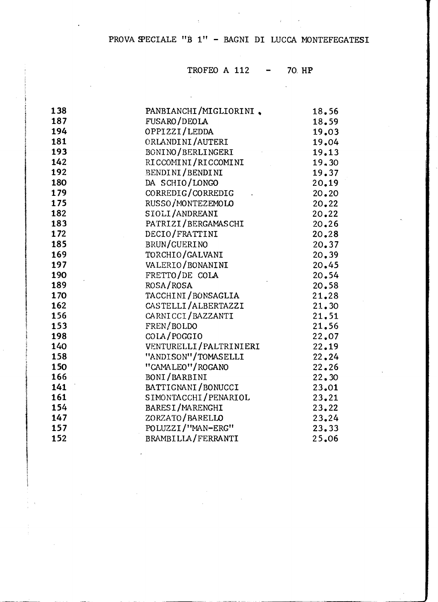#### PROVA SPECIALE "B 1" - BAGNI DI LUCCA MONTEFEGATESI

 $\sim 10^{11}$ 

 $\sim$ 

 $\mathcal{L}^{\text{max}}_{\text{max}}$ 

 $\bar{a}$ 

#### TROFEO A 112 70. HP

| 138 | PANBIANCHI/MIGLIORINI. | 18.56 |
|-----|------------------------|-------|
| 187 | FUSARO/DEOLA           | 18.59 |
| 194 | OPPIZZI/LEDDA          | 19.03 |
| 181 | ORLANDINI/AUTERI       | 19.04 |
| 193 | BONINO/BERLINGERI      | 19.13 |
| 142 | RICCOMINI/RICCOMINI    | 19.30 |
| 192 | BENDINI/BENDINI        | 19.37 |
| 180 | DA SCHIO/LONGO         | 20.19 |
| 179 | CORREDIG/CORREDIG      | 20.20 |
| 175 | RUSSO/MONTEZEMOLO      | 20.22 |
| 182 | SIOLI/ANDREANI         | 20.22 |
| 183 | PATRIZI/BERGAMASCHI    | 20.26 |
| 172 | DECIO/FRATTINI         | 20.28 |
| 185 | BRUN/GUERINO           | 20.37 |
| 169 | TORCHIO/GALVANI        | 20.39 |
| 197 | VALERIO/BONANINI       | 20.45 |
| 190 | FRETTO/DE COLA         | 20.54 |
| 189 | ROSA/ROSA              | 20.58 |
| 170 | TACCHINI/BONSAGLIA     | 21.28 |
| 162 | CASTELLI/ALBERTAZZI    | 21.30 |
| 156 | CARNICCI/BAZZANTI      | 21.51 |
| 153 | FREN/BOLDO             | 21.56 |
| 198 | COLA/POGGIO            | 22.07 |
| 140 | VENTURELLI/PALTRINIERI | 22.19 |
| 158 | "ANDISON"/TOMASELLI    | 22.24 |
| 150 | "CAMALEO"/ROGANO       | 22.26 |
| 166 | BONI/BARBINI           | 22.30 |
| 141 | BATTIGNANI/BONUCCI     | 23.01 |
| 161 | SIMONTACCHI/PENARIOL   | 23.21 |
| 154 | BARESI/MARENGHI        | 23.22 |
| 147 | ZORZATO/BARELLO        | 23.24 |
| 157 | POLUZZI/"MAN-ERG"      | 23.33 |
| 152 | BRAMBILLA/FERRANTI     | 25.06 |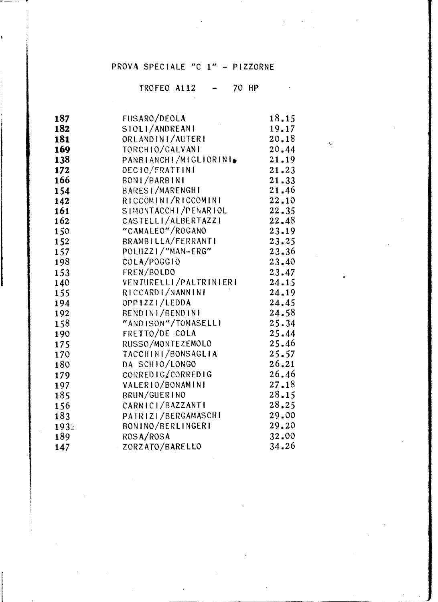### PROVA SPECIALE "C 1" - PIZZORNE

 $\sim 10$ 

### TROFEO A112 - 70 HP

 $\zeta$ 

| 187  | FUSARO/DEOLA           | 18.15 |
|------|------------------------|-------|
| 182  | SIOLI/ANDREANI         | 19.17 |
| 181  | ORLANDINI/AUTERI       | 20.18 |
| 169  | TORCHIO/GALVANI        | 20.44 |
| 138  | PANBIANCHI/MIGLIORINI. | 21.19 |
| 172  | DEC10/FRATTINI         | 21.23 |
| 166  | BONI/BARBINI           | 21.33 |
| 154  | <b>BARESI/MARENGHI</b> | 21.46 |
| 142  | RICCOMINI/RICCOMINI    | 22.10 |
| 161  | SIMONTACCHI/PENARIOL   | 22.35 |
| 162  | CASTELLI/ALBERTAZZI    | 22.48 |
| 150  | "CAMALEO"/ROGANO       | 23.19 |
| 152  | BRAMBILLA/FERRANTI     | 23.25 |
| 157  | POLUZZI/"MAN-ERG"      | 23.36 |
| 198  | COLA/POGGIO            | 23.40 |
| 153  | FREN/BOLDO             | 23.47 |
| 140  | VENTURELLI/PALTRINIERI | 24.15 |
| 155  | RICCARDI/NANNINI       | 24.19 |
| 194  | OPP1ZZI/LEDDA          | 24.45 |
| 192  | BENDINI/BENDINI        | 24.58 |
| 158  | "ANDISON"/TOMASELLI    | 25.34 |
| 190  | FRETTO/DE COLA         | 25.44 |
| 175  | RUSSO/MONTEZEMOLO      | 25.46 |
| 170  | TACCHINI/BONSAGLIA     | 25.57 |
| 180  | DA SCHIO/LONGO         | 26.21 |
| 179  | CORREDIG/CORREDIG      | 26.46 |
| 197  | VALERIO/BONAMINI       | 27.18 |
| 185  | BRUN/GUERINO           | 28.15 |
| 156  | CARNICI/BAZZANTI       | 28.25 |
| 183  | PATRIZI/BERGAMASCHI    | 29.00 |
| 1932 | BONINO/BERLINGERI      | 29.20 |
| 189  | ROSA/ROSA              | 32.00 |
| 147  | ZORZATO/BARELLO        | 34.26 |
|      |                        |       |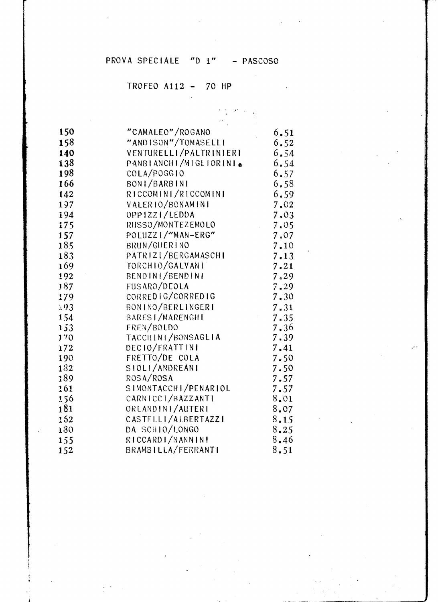## PROVA SPECIALE "D 1" - PASCOSO

 $\label{eq:2} \frac{1}{2} \sum_{i=1}^n \left( \frac{2\pi}{\pi} \right)^2 \left( \frac{1}{2} \right)^2 \left( \frac{1}{2} \right)^2$ 

| 150 | "CAMALEO"/ROGANO                                 | 6.51     |
|-----|--------------------------------------------------|----------|
| 158 | "ANDISON"/TOMASELLI                              | 6.52     |
| 140 | VENTURELLI/PALTRINIERI                           | 6.54     |
| 138 | PANSIANCHI/MIGLIORINI.                           | 6,54     |
| 198 | COLA/POGG10                                      | 6.57     |
| 166 | BONI/BARBINI                                     | 6,58     |
| 142 | RICCOMINI/RICCOMINI                              | 6, 59    |
| 197 | VALERIO/BONAMINI                                 | 7.02     |
| 194 | OPPIZZI/LEDDA                                    | 7.03     |
| 175 | RIISSO/MONTEZEMOLO<br>$\mathcal{L}^{\text{max}}$ | 7.05     |
| 157 | POLUZZI/"MAN-ERG"                                | 7.07     |
| 185 | BRUN/GUERINO                                     | 7.10     |
| 183 | PATRIZI/BERGAMASCHI                              | 7.13     |
| 169 | TORCHIO/GALVANI                                  | 7.21     |
| 192 | BENDINI/BENDINI                                  | 7.29     |
| 187 | FUSARO/DEOLA                                     | 7.29     |
| 179 | CORREDIG/CORREDIG                                | $7 - 30$ |
| 193 | BONINO/BERLINGERI                                | 7.31     |
| 154 | BARES I/MARENGHI                                 | $7 - 35$ |
| 153 | FREN/BOLDO                                       | 7.36     |
| 170 | TACCILINI/BONSAGLIA                              | 7.39     |
| 172 | DECIO/FRATTINI                                   | $7 - 41$ |
| 190 | FRETTO/DE COLA                                   | 7.50     |
| 132 | SIOLI/ANDREANI                                   | 7.50     |
| 189 | ROSA/ROSA                                        | 7.57     |
| 161 | SIMONTACCHI/PENARIOL                             | 7.57     |
| 156 | CARNICCI/BAZZANTI                                | 8.01     |
| 181 | ORLANDINI/AUTERI                                 | 8.07     |
| 152 | CASTELLI/ALBERTAZZI                              | 8.15     |
| 130 | DA SCHIO/LONGO                                   | 8, 25    |
| 155 | RICCARDI/NANNINI                                 | 8,46     |
| 152 | BRAMBILLA/FERRANTI                               | $8 - 51$ |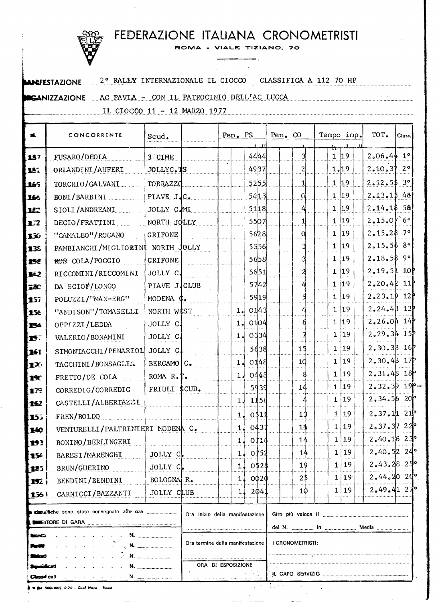# FEDERAZIONE ITALIANA CRONOMETRISTI

ROMA - VIALE TIZIANO, 70

 $\blacksquare$  $\sim 10^7$ 

| <b>ANDEFESTAZIONE</b> | 2° RALLY INTERNAZIONALE IL CIOCCO | CLASSIFICA A 112 70 HP |
|-----------------------|-----------------------------------|------------------------|
|                       |                                   |                        |

#### CANIZZAZIONE AC PAVIA - CON IL PATROCINIO DELL'AC LUCCA

IL CIOCCO 11 - 12 MARZO 1977

| FUSARO/DEOLA<br>ORLANDINI/AUFERI<br>TORCHIO/GALVANI<br>BONI/BARBINI<br>SIOLI/ANDREANI<br>DECIO/FRATTINI<br>"CAMALEO"/ROGANO<br>PAMBIANCHI/MIGLIORINI NORTH JOLLY<br>ROS COLA/POGGIO<br>RICCOMINI/RICCOMINI<br>DA SCIOP/LONGO | 3. CIME<br>JOLLYC. TS<br>TORRAZZO<br>PIAVE JJC.<br>JOLLY C.MI<br>NORTH JOLLY<br><b>GRIFONE</b><br>GRIFONE                                                                |                                                                                               |                                                   | 4444<br>4937<br>5255<br>5413<br>5118<br>5507<br>5628 |                                                      | 3<br>$\overline{2}$<br>1<br>O<br>4<br>11<br>0                                                                            |                | ÷.<br>1 19<br>1.19<br>1 19<br>$1 \; 19$<br>$\mathbf{1}$<br>$\mathbf{1}$ | $ 19\rangle$<br>19 | 2.06.441<br>2.10.3720<br>$2,12,55$ 3°<br>2.13.1348<br>$2.14.18$ 58<br>2,15,07.6°                                            |                                                                                                                                                                                                                                                                                                                                    |
|------------------------------------------------------------------------------------------------------------------------------------------------------------------------------------------------------------------------------|--------------------------------------------------------------------------------------------------------------------------------------------------------------------------|-----------------------------------------------------------------------------------------------|---------------------------------------------------|------------------------------------------------------|------------------------------------------------------|--------------------------------------------------------------------------------------------------------------------------|----------------|-------------------------------------------------------------------------|--------------------|-----------------------------------------------------------------------------------------------------------------------------|------------------------------------------------------------------------------------------------------------------------------------------------------------------------------------------------------------------------------------------------------------------------------------------------------------------------------------|
|                                                                                                                                                                                                                              |                                                                                                                                                                          |                                                                                               |                                                   |                                                      |                                                      |                                                                                                                          |                |                                                                         |                    |                                                                                                                             |                                                                                                                                                                                                                                                                                                                                    |
|                                                                                                                                                                                                                              |                                                                                                                                                                          |                                                                                               |                                                   |                                                      |                                                      |                                                                                                                          |                |                                                                         |                    |                                                                                                                             |                                                                                                                                                                                                                                                                                                                                    |
|                                                                                                                                                                                                                              |                                                                                                                                                                          |                                                                                               |                                                   |                                                      |                                                      |                                                                                                                          |                |                                                                         |                    |                                                                                                                             |                                                                                                                                                                                                                                                                                                                                    |
|                                                                                                                                                                                                                              |                                                                                                                                                                          |                                                                                               |                                                   |                                                      |                                                      |                                                                                                                          |                |                                                                         |                    |                                                                                                                             |                                                                                                                                                                                                                                                                                                                                    |
|                                                                                                                                                                                                                              |                                                                                                                                                                          |                                                                                               |                                                   |                                                      |                                                      |                                                                                                                          |                |                                                                         |                    |                                                                                                                             |                                                                                                                                                                                                                                                                                                                                    |
|                                                                                                                                                                                                                              |                                                                                                                                                                          |                                                                                               |                                                   |                                                      |                                                      |                                                                                                                          |                |                                                                         |                    |                                                                                                                             |                                                                                                                                                                                                                                                                                                                                    |
|                                                                                                                                                                                                                              |                                                                                                                                                                          |                                                                                               |                                                   |                                                      |                                                      |                                                                                                                          |                |                                                                         | $ 19\rangle$       | $2.15.28$ 7°                                                                                                                |                                                                                                                                                                                                                                                                                                                                    |
|                                                                                                                                                                                                                              |                                                                                                                                                                          |                                                                                               |                                                   |                                                      |                                                      |                                                                                                                          |                | $\mathbf{1}$                                                            |                    | 2,15,568                                                                                                                    |                                                                                                                                                                                                                                                                                                                                    |
|                                                                                                                                                                                                                              |                                                                                                                                                                          |                                                                                               |                                                   | 5356                                                 |                                                      |                                                                                                                          |                | 1                                                                       | 19                 |                                                                                                                             |                                                                                                                                                                                                                                                                                                                                    |
|                                                                                                                                                                                                                              |                                                                                                                                                                          |                                                                                               |                                                   | 5658                                                 |                                                      |                                                                                                                          |                | 1                                                                       | 19                 | 2.13.5899                                                                                                                   |                                                                                                                                                                                                                                                                                                                                    |
|                                                                                                                                                                                                                              | JOLLY C.                                                                                                                                                                 |                                                                                               |                                                   | 5851                                                 |                                                      |                                                                                                                          |                | $\mathbf{1}$                                                            | 19                 | 2.19.5110                                                                                                                   |                                                                                                                                                                                                                                                                                                                                    |
|                                                                                                                                                                                                                              | PIAVE J.CLUB                                                                                                                                                             |                                                                                               |                                                   | 5742                                                 |                                                      |                                                                                                                          |                | 1                                                                       | 19                 | $2,20,42$ 11                                                                                                                |                                                                                                                                                                                                                                                                                                                                    |
| POLUZZI/"MAN-ERG"                                                                                                                                                                                                            | MODENA ¢.                                                                                                                                                                |                                                                                               |                                                   | 5919                                                 |                                                      |                                                                                                                          |                | 1                                                                       | 19                 | $2.23.19$ 12P                                                                                                               |                                                                                                                                                                                                                                                                                                                                    |
| "ANDISON"/TOMASELLI                                                                                                                                                                                                          | NORTH WEST                                                                                                                                                               |                                                                                               | 1.1                                               | 0143                                                 |                                                      |                                                                                                                          |                | 1                                                                       | 19                 | $2.24.4B$ 13                                                                                                                |                                                                                                                                                                                                                                                                                                                                    |
| OPPIZZI/LEDDA                                                                                                                                                                                                                | JOLLY C.                                                                                                                                                                 |                                                                                               |                                                   |                                                      |                                                      |                                                                                                                          |                |                                                                         |                    |                                                                                                                             |                                                                                                                                                                                                                                                                                                                                    |
| VALERIO / BONAMINI                                                                                                                                                                                                           | JOLLY C.                                                                                                                                                                 |                                                                                               |                                                   |                                                      |                                                      |                                                                                                                          |                |                                                                         |                    |                                                                                                                             |                                                                                                                                                                                                                                                                                                                                    |
|                                                                                                                                                                                                                              |                                                                                                                                                                          |                                                                                               |                                                   |                                                      |                                                      | 15                                                                                                                       |                |                                                                         |                    |                                                                                                                             |                                                                                                                                                                                                                                                                                                                                    |
| TACCHINI/BONSAGLIA                                                                                                                                                                                                           | BERGAMO   C.                                                                                                                                                             |                                                                                               |                                                   |                                                      |                                                      | 10                                                                                                                       |                |                                                                         |                    |                                                                                                                             |                                                                                                                                                                                                                                                                                                                                    |
|                                                                                                                                                                                                                              |                                                                                                                                                                          |                                                                                               |                                                   |                                                      |                                                      |                                                                                                                          |                | 1                                                                       |                    |                                                                                                                             |                                                                                                                                                                                                                                                                                                                                    |
|                                                                                                                                                                                                                              |                                                                                                                                                                          |                                                                                               |                                                   |                                                      |                                                      | $\pm 4$                                                                                                                  |                |                                                                         |                    |                                                                                                                             |                                                                                                                                                                                                                                                                                                                                    |
|                                                                                                                                                                                                                              |                                                                                                                                                                          |                                                                                               | 1.                                                |                                                      |                                                      |                                                                                                                          |                |                                                                         |                    |                                                                                                                             |                                                                                                                                                                                                                                                                                                                                    |
|                                                                                                                                                                                                                              |                                                                                                                                                                          |                                                                                               |                                                   |                                                      |                                                      | 13                                                                                                                       |                | $\mathbf{1}$                                                            |                    |                                                                                                                             |                                                                                                                                                                                                                                                                                                                                    |
|                                                                                                                                                                                                                              |                                                                                                                                                                          |                                                                                               |                                                   |                                                      |                                                      | 14                                                                                                                       |                |                                                                         |                    |                                                                                                                             |                                                                                                                                                                                                                                                                                                                                    |
|                                                                                                                                                                                                                              |                                                                                                                                                                          |                                                                                               |                                                   |                                                      |                                                      |                                                                                                                          |                |                                                                         |                    |                                                                                                                             |                                                                                                                                                                                                                                                                                                                                    |
|                                                                                                                                                                                                                              | <b></b>                                                                                                                                                                  |                                                                                               |                                                   |                                                      |                                                      | 14                                                                                                                       |                |                                                                         |                    |                                                                                                                             |                                                                                                                                                                                                                                                                                                                                    |
|                                                                                                                                                                                                                              |                                                                                                                                                                          |                                                                                               |                                                   |                                                      |                                                      | 19                                                                                                                       |                |                                                                         |                    |                                                                                                                             |                                                                                                                                                                                                                                                                                                                                    |
|                                                                                                                                                                                                                              |                                                                                                                                                                          |                                                                                               |                                                   |                                                      |                                                      |                                                                                                                          |                |                                                                         |                    |                                                                                                                             |                                                                                                                                                                                                                                                                                                                                    |
|                                                                                                                                                                                                                              |                                                                                                                                                                          |                                                                                               |                                                   |                                                      |                                                      |                                                                                                                          |                |                                                                         |                    |                                                                                                                             |                                                                                                                                                                                                                                                                                                                                    |
|                                                                                                                                                                                                                              | FRETTO/DE COLA<br>CORREDIG/CORREDIG<br>CASTELLI/ALBERTAZZI<br>FREN/BOLDO<br>BONINO/BERLINGERI<br>BARESI/MARENGHI<br>BRUN/GUERINO<br>BENDINI/BENDINI<br>CARNICCI/BAZZANTI | SIMONTACCHI/PENARIOL JOLLY C.<br>ROMA R.T.<br>JOLLY C.<br>JOLLY C<br>BOLOGNA R.<br>JOLLY CLUB | FRIULI \$CUD.<br>VENTURELLI/PALTRINIERI MODENA C. |                                                      | 1.1<br>$1\,\mathrm{s}$<br>1.1<br>11<br>$1\downarrow$ | 0104<br>0334<br>5638<br>0148<br>1.0448<br>5939<br>1156<br>1,0511<br>1.0437<br>1.0716<br>1.0752<br>0528<br>110020<br>2041 | 14<br>25<br>10 |                                                                         | 1<br>$\mathbf{1}$  | $ 19\rangle$<br>1 19<br>1 19<br>1 19<br> 19<br>1 19<br>1 19<br><sup>19</sup><br>1 19<br>1 19<br>1119<br>1 19<br>1 19<br> 19 | 2.26.0414<br>$2,29,34$ 15<br>$2,30,38$ 16 <sup>b</sup><br>$2,30,48$ 17 <sup>p</sup><br>$2.31.48$ 18 <sup>p</sup><br>$2.32.3919 =$<br>$2.34.56$ 20 <sup>1</sup> °<br>$2.37.11$ 21 <sup>o</sup><br>$2.37.37$ $22^{\circ}$<br>$2.40.16$ $23^{\circ}$<br>$2.40.52$ $24^{\circ}$<br>$2.43.28$ $25$<br>$2,44,20$ $26$<br>$2.49.41$ $27°$ |

 $\mathcal{L}$ 

 $\Delta\omega$  , and  $\Delta\omega$